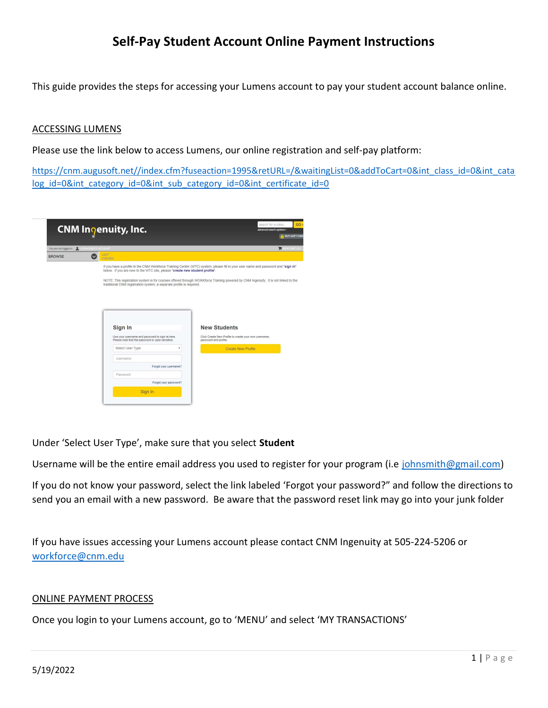## Self-Pay Student Account Online Payment Instructions

This guide provides the steps for accessing your Lumens account to pay your student account balance online.

#### ACCESSING LUMENS

Please use the link below to access Lumens, our online registration and self-pay platform:

https://cnm.augusoft.net//index.cfm?fuseaction=1995&retURL=/&waitingList=0&addToCart=0&int\_class\_id=0&int\_cata log\_id=0&int\_category\_id=0&int\_sub\_category\_id=0&int\_certificate\_id=0

|                                               | CNM Inqenuity, Inc.                                                                                                                                                                                                                                                                                                                        | GO:<br>search for a class.<br>advanced search options ><br><b>BUY eGIFT CARD</b>                                                                                                                                                                                                                                                                                                                              |
|-----------------------------------------------|--------------------------------------------------------------------------------------------------------------------------------------------------------------------------------------------------------------------------------------------------------------------------------------------------------------------------------------------|---------------------------------------------------------------------------------------------------------------------------------------------------------------------------------------------------------------------------------------------------------------------------------------------------------------------------------------------------------------------------------------------------------------|
| You are not logged in Q. LOCIN/CREATE ACCOUNT |                                                                                                                                                                                                                                                                                                                                            | WEW CART (0)                                                                                                                                                                                                                                                                                                                                                                                                  |
| <b>BROWSE</b>                                 | LAST<br>VIEWED                                                                                                                                                                                                                                                                                                                             |                                                                                                                                                                                                                                                                                                                                                                                                               |
|                                               | below. If you are new to the WTC site, please "create new student profile".<br>traditional CNM registration system; a separate profile is required.<br>Sign In<br>Use your username and password to sign in here.<br>Please note that the password is case sensitive.<br>Select User Type<br>Username<br>Forgot your username?<br>Password | If you have a profile in the CNM Workforce Training Center (WTC) system, please fill in your user name and password and "sign in"<br>NOTE: This registration system is for courses offered through WORKforce Training powered by CNM Ingenuity. It is not linked to the<br><b>New Students</b><br>Click Create New Profile to create your own username,<br>password and profile.<br><b>Create New Profile</b> |
|                                               | Forgot your password?                                                                                                                                                                                                                                                                                                                      |                                                                                                                                                                                                                                                                                                                                                                                                               |
|                                               | Sign In                                                                                                                                                                                                                                                                                                                                    |                                                                                                                                                                                                                                                                                                                                                                                                               |

Under 'Select User Type', make sure that you select Student

Username will be the entire email address you used to register for your program (i.e johnsmith@gmail.com)

If you do not know your password, select the link labeled 'Forgot your password?" and follow the directions to send you an email with a new password. Be aware that the password reset link may go into your junk folder

If you have issues accessing your Lumens account please contact CNM Ingenuity at 505-224-5206 or workforce@cnm.edu

#### ONLINE PAYMENT PROCESS

Once you login to your Lumens account, go to 'MENU' and select 'MY TRANSACTIONS'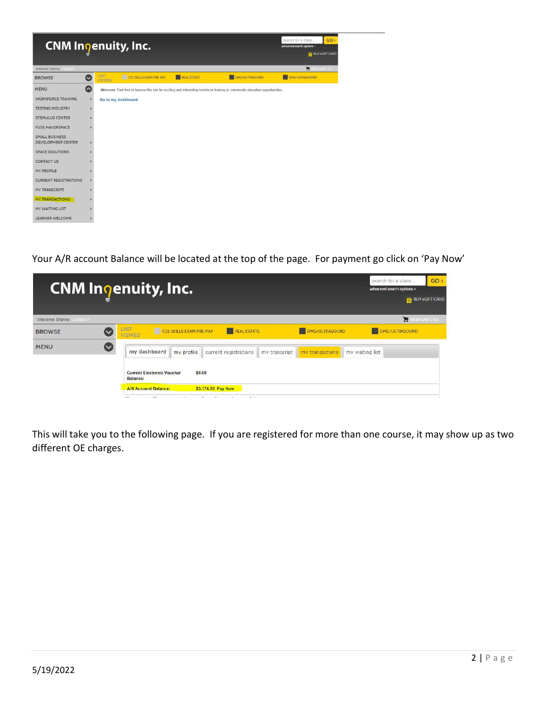

Your A/R account Balance will be located at the top of the page. For payment go click on 'Pay Now'

|                       | <b>CNM</b> Inoenuity, Inc.                                                  |                       | search for a class<br>advanced search options > | GO <sub>2</sub><br><b>86 BUY eGIFT CARD</b> |
|-----------------------|-----------------------------------------------------------------------------|-----------------------|-------------------------------------------------|---------------------------------------------|
| Welcome Shanna LOCOUT |                                                                             |                       |                                                 | WEW CART (O)                                |
| <b>BROWSE</b>         | LAST<br><b>CDL SKILLS EXAM PRE-PAY</b><br>REAL ESTATE<br>VIEWED             | <b>DMS/ULTRASOUND</b> | DMS/ULTRASOUND                                  |                                             |
| <b>MENU</b>           | my dashboard<br>my profile<br>current registrations<br>my transcript        | my transactions       | my waiting list                                 |                                             |
|                       | <b>Current Electronic Voucher</b><br>\$0.00<br>Balance:                     |                       |                                                 |                                             |
|                       | \$3,174.20 Pay Now<br><b>A/R Account Balance:</b><br>$\cdot$ $\cdot$<br>- - |                       |                                                 |                                             |

This will take you to the following page. If you are registered for more than one course, it may show up as two different OE charges.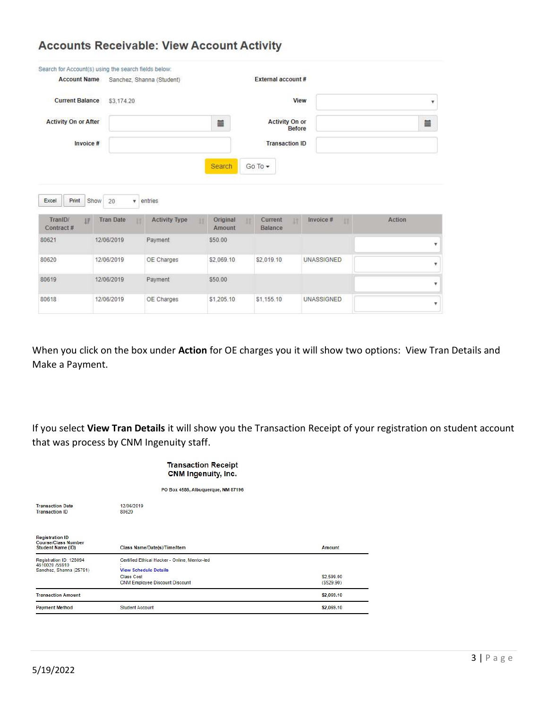## **Accounts Receivable: View Account Activity**

| Search for Account(s) using the search fields below:                |                                           |                                       |                          |                                        |                   |        |
|---------------------------------------------------------------------|-------------------------------------------|---------------------------------------|--------------------------|----------------------------------------|-------------------|--------|
| <b>Account Name</b>                                                 |                                           | Sanchez, Shanna (Student)             |                          | External account#                      |                   |        |
| <b>Current Balance</b><br>\$3,174.20<br><b>Activity On or After</b> |                                           |                                       | View                     |                                        |                   | ¥      |
|                                                                     |                                           |                                       | i                        | <b>Activity On or</b><br><b>Before</b> |                   | iii    |
| Invoice #                                                           |                                           |                                       |                          | <b>Transaction ID</b>                  |                   |        |
|                                                                     |                                           |                                       | Search                   | $GoTo \rightarrow$                     |                   |        |
|                                                                     |                                           |                                       |                          |                                        |                   |        |
|                                                                     |                                           |                                       |                          |                                        |                   |        |
| Print<br>Excel<br>TraniD/<br>详<br>Contract#                         | ¥<br>Show<br>20<br><b>Tran Date</b><br>18 | entries<br><b>Activity Type</b><br>11 | Original<br>13<br>Amount | Current<br>Balance                     | Invoice #<br>33   | Action |
| 80621                                                               | 12/06/2019                                | Payment                               | \$50.00                  |                                        |                   |        |
| 80620                                                               | 12/06/2019                                | OE Charges                            | \$2,069.10               | \$2,019.10                             | <b>UNASSIGNED</b> | ۷<br>۰ |
| 80619                                                               | 12/06/2019                                | Payment                               | \$50.00                  |                                        |                   | v      |

When you click on the box under Action for OE charges you it will show two options: View Tran Details and Make a Payment.

If you select View Tran Details it will show you the Transaction Receipt of your registration on student account that was process by CNM Ingenuity staff.

#### **Transaction Receipt** CNM Ingenuity, Inc.

PO Box 4586, Albuquerque, NM 87196

| <b>Transaction Date</b><br><b>Transaction ID</b>                          | 12/06/2019<br>80620                                                                                                                         |                         |
|---------------------------------------------------------------------------|---------------------------------------------------------------------------------------------------------------------------------------------|-------------------------|
| <b>Registration ID</b><br><b>Course/Class Number</b><br>Student Name (ID) | Class Name/Date(s)/Time/Item                                                                                                                | Amount                  |
| Registration ID: 128094<br>4610020 /55910<br>Sanchez, Shanna (25791)      | Certified Ethical Hacker - Online, Mentor-led<br><b>View Schedule Details</b><br><b>Class Cost</b><br><b>CNM Employee Discount Discount</b> | \$2,599.00<br>(5529.90) |
| <b>Transaction Amount</b>                                                 |                                                                                                                                             | \$2,069.10              |
| <b>Payment Method</b>                                                     | <b>Student Account</b>                                                                                                                      | \$2,069.10              |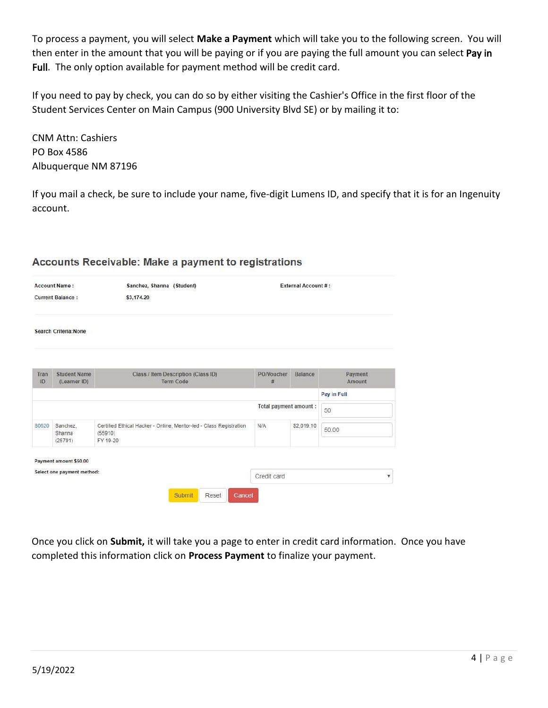To process a payment, you will select Make a Payment which will take you to the following screen. You will then enter in the amount that you will be paying or if you are paying the full amount you can select Pay in Full. The only option available for payment method will be credit card.

If you need to pay by check, you can do so by either visiting the Cashier's Office in the first floor of the Student Services Center on Main Campus (900 University Blvd SE) or by mailing it to:

CNM Attn: Cashiers PO Box 4586 Albuquerque NM 87196

If you mail a check, be sure to include your name, five-digit Lumens ID, and specify that it is for an Ingenuity account.

| Accounts Receivable: Make a payment to registrations |
|------------------------------------------------------|
|                                                      |

| Sanchez, Shanna (Student)<br><b>Account Name:</b><br><b>Current Balance:</b><br>\$3,174.20 |                                     |                                                                                           | <b>External Account #:</b> |                |                   |  |
|--------------------------------------------------------------------------------------------|-------------------------------------|-------------------------------------------------------------------------------------------|----------------------------|----------------|-------------------|--|
|                                                                                            | <b>Search Criteria: None</b>        |                                                                                           |                            |                |                   |  |
| Tran<br>ID                                                                                 | <b>Student Name</b><br>(Learner ID) | Class / Item Description (Class ID)<br><b>Term Code</b>                                   | PO/Voucher<br>#            | <b>Balance</b> | Payment<br>Amount |  |
|                                                                                            |                                     |                                                                                           |                            |                | Pay in Full       |  |
|                                                                                            |                                     |                                                                                           | Total payment amount :     |                | 50                |  |
| 80620                                                                                      | Sanchez.<br>Shanna<br>(25791)       | Certified Ethical Hacker - Online, Mentor-led - Class Registration<br>(55910)<br>FY 19-20 | N/A                        | \$2,019.10     | 50.00             |  |
|                                                                                            |                                     |                                                                                           |                            |                |                   |  |
|                                                                                            | Payment amount \$50.00              |                                                                                           |                            |                |                   |  |

Once you click on Submit, it will take you a page to enter in credit card information. Once you have completed this information click on Process Payment to finalize your payment.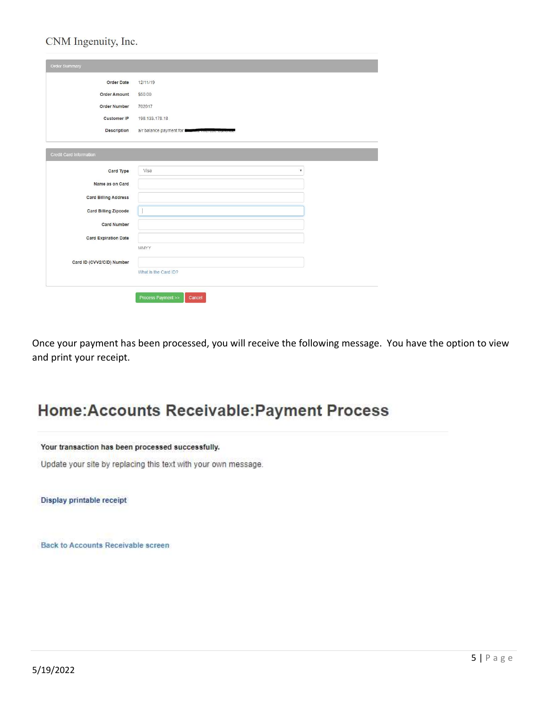### CNM Ingenuity, Inc.

| <b>Order Date</b>           | 12/11/19                                                  |
|-----------------------------|-----------------------------------------------------------|
| <b>Order Amount</b>         | \$50.00                                                   |
| Order Number                | 702017                                                    |
| <b>Customer IP</b>          | 198, 133, 178, 18                                         |
| Description                 | a/r balance payment for <b>Blasswith Thorese currency</b> |
| Credit Card Information     |                                                           |
| Card Type                   | Visa<br>$\boldsymbol{\mathrm{v}}$                         |
| Name as on Card             |                                                           |
| <b>Card Billing Address</b> |                                                           |
| <b>Card Billing Zipcode</b> |                                                           |
| <b>Card Number</b>          |                                                           |
| <b>Card Expiration Date</b> |                                                           |
|                             | MMYY                                                      |
| Card ID (CVV2/CID) Number   |                                                           |
|                             | What is the Card ID?                                      |
|                             |                                                           |

Once your payment has been processed, you will receive the following message. You have the option to view and print your receipt.

# **Home:Accounts Receivable:Payment Process**

#### Your transaction has been processed successfully.

Update your site by replacing this text with your own message.

Display printable receipt

**Back to Accounts Receivable screen**